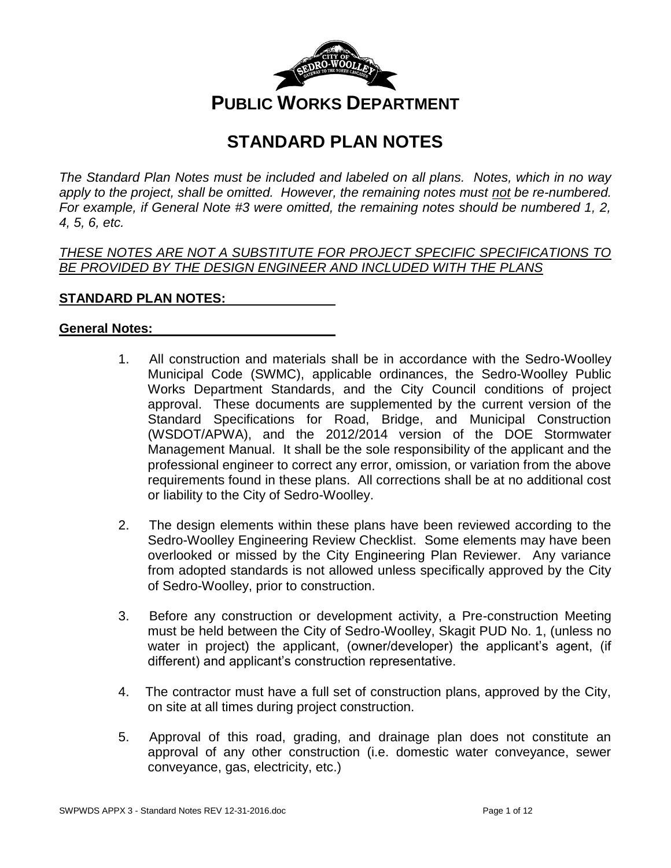

# **STANDARD PLAN NOTES**

*The Standard Plan Notes must be included and labeled on all plans. Notes, which in no way apply to the project, shall be omitted. However, the remaining notes must not be re-numbered. For example, if General Note #3 were omitted, the remaining notes should be numbered 1, 2, 4, 5, 6, etc.*

*THESE NOTES ARE NOT A SUBSTITUTE FOR PROJECT SPECIFIC SPECIFICATIONS TO BE PROVIDED BY THE DESIGN ENGINEER AND INCLUDED WITH THE PLANS*

# **STANDARD PLAN NOTES:**

### **General Notes:**

- 1. All construction and materials shall be in accordance with the Sedro-Woolley Municipal Code (SWMC), applicable ordinances, the Sedro-Woolley Public Works Department Standards, and the City Council conditions of project approval. These documents are supplemented by the current version of the Standard Specifications for Road, Bridge, and Municipal Construction (WSDOT/APWA), and the 2012/2014 version of the DOE Stormwater Management Manual. It shall be the sole responsibility of the applicant and the professional engineer to correct any error, omission, or variation from the above requirements found in these plans. All corrections shall be at no additional cost or liability to the City of Sedro-Woolley.
- 2. The design elements within these plans have been reviewed according to the Sedro-Woolley Engineering Review Checklist. Some elements may have been overlooked or missed by the City Engineering Plan Reviewer. Any variance from adopted standards is not allowed unless specifically approved by the City of Sedro-Woolley, prior to construction.
- 3. Before any construction or development activity, a Pre-construction Meeting must be held between the City of Sedro-Woolley, Skagit PUD No. 1, (unless no water in project) the applicant, (owner/developer) the applicant's agent, (if different) and applicant's construction representative.
- 4. The contractor must have a full set of construction plans, approved by the City, on site at all times during project construction.
- 5. Approval of this road, grading, and drainage plan does not constitute an approval of any other construction (i.e. domestic water conveyance, sewer conveyance, gas, electricity, etc.)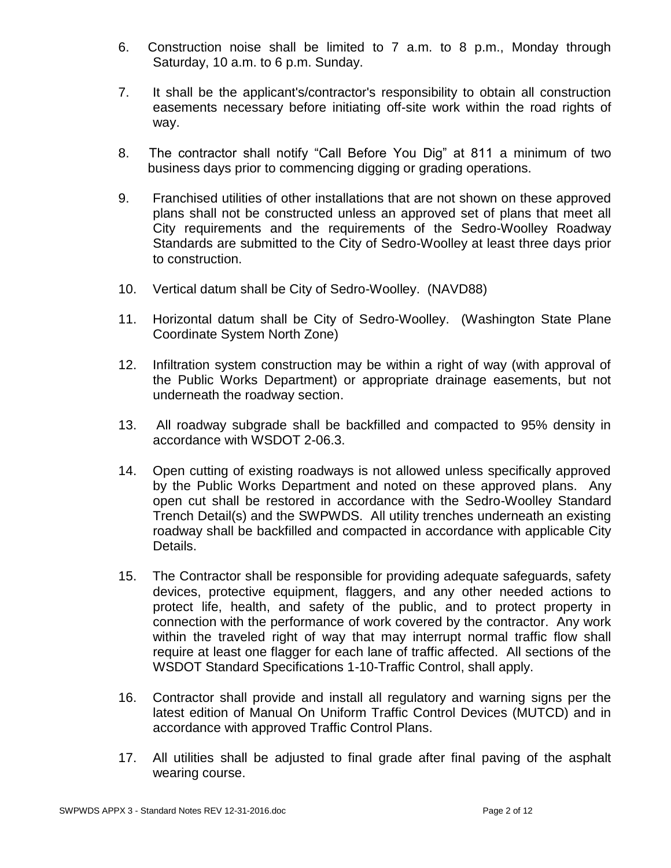- 6. Construction noise shall be limited to 7 a.m. to 8 p.m., Monday through Saturday, 10 a.m. to 6 p.m. Sunday.
- 7. It shall be the applicant's/contractor's responsibility to obtain all construction easements necessary before initiating off-site work within the road rights of way.
- 8. The contractor shall notify "Call Before You Dig" at 811 a minimum of two business days prior to commencing digging or grading operations.
- 9. Franchised utilities of other installations that are not shown on these approved plans shall not be constructed unless an approved set of plans that meet all City requirements and the requirements of the Sedro-Woolley Roadway Standards are submitted to the City of Sedro-Woolley at least three days prior to construction.
- 10. Vertical datum shall be City of Sedro-Woolley. (NAVD88)
- 11. Horizontal datum shall be City of Sedro-Woolley. (Washington State Plane Coordinate System North Zone)
- 12. Infiltration system construction may be within a right of way (with approval of the Public Works Department) or appropriate drainage easements, but not underneath the roadway section.
- 13. All roadway subgrade shall be backfilled and compacted to 95% density in accordance with WSDOT 2-06.3.
- 14. Open cutting of existing roadways is not allowed unless specifically approved by the Public Works Department and noted on these approved plans. Any open cut shall be restored in accordance with the Sedro-Woolley Standard Trench Detail(s) and the SWPWDS. All utility trenches underneath an existing roadway shall be backfilled and compacted in accordance with applicable City Details.
- 15. The Contractor shall be responsible for providing adequate safeguards, safety devices, protective equipment, flaggers, and any other needed actions to protect life, health, and safety of the public, and to protect property in connection with the performance of work covered by the contractor. Any work within the traveled right of way that may interrupt normal traffic flow shall require at least one flagger for each lane of traffic affected. All sections of the WSDOT Standard Specifications 1-10-Traffic Control, shall apply.
- 16. Contractor shall provide and install all regulatory and warning signs per the latest edition of Manual On Uniform Traffic Control Devices (MUTCD) and in accordance with approved Traffic Control Plans.
- 17. All utilities shall be adjusted to final grade after final paving of the asphalt wearing course.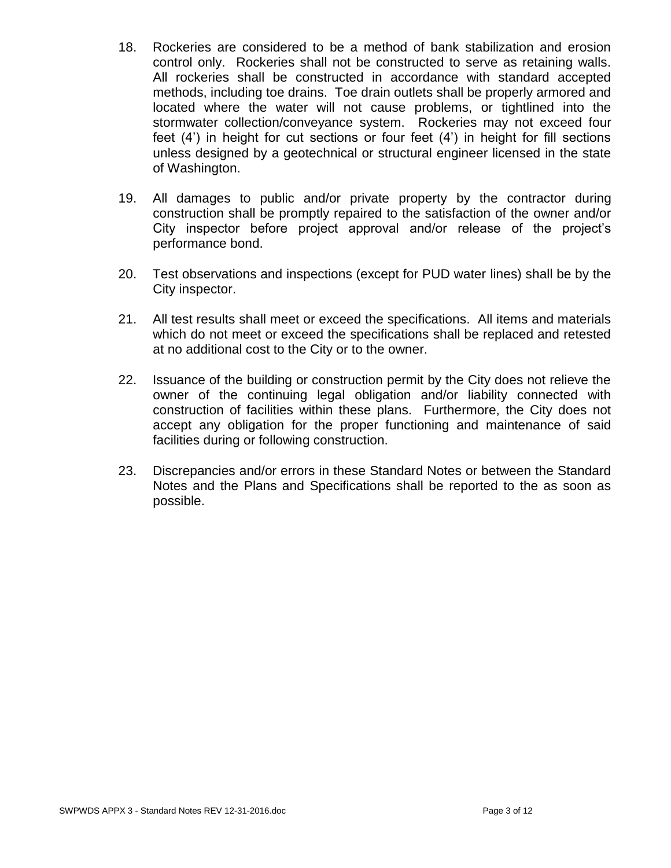- 18. Rockeries are considered to be a method of bank stabilization and erosion control only. Rockeries shall not be constructed to serve as retaining walls. All rockeries shall be constructed in accordance with standard accepted methods, including toe drains. Toe drain outlets shall be properly armored and located where the water will not cause problems, or tightlined into the stormwater collection/conveyance system. Rockeries may not exceed four feet (4') in height for cut sections or four feet (4') in height for fill sections unless designed by a geotechnical or structural engineer licensed in the state of Washington.
- 19. All damages to public and/or private property by the contractor during construction shall be promptly repaired to the satisfaction of the owner and/or City inspector before project approval and/or release of the project's performance bond.
- 20. Test observations and inspections (except for PUD water lines) shall be by the City inspector.
- 21. All test results shall meet or exceed the specifications. All items and materials which do not meet or exceed the specifications shall be replaced and retested at no additional cost to the City or to the owner.
- 22. Issuance of the building or construction permit by the City does not relieve the owner of the continuing legal obligation and/or liability connected with construction of facilities within these plans. Furthermore, the City does not accept any obligation for the proper functioning and maintenance of said facilities during or following construction.
- 23. Discrepancies and/or errors in these Standard Notes or between the Standard Notes and the Plans and Specifications shall be reported to the as soon as possible.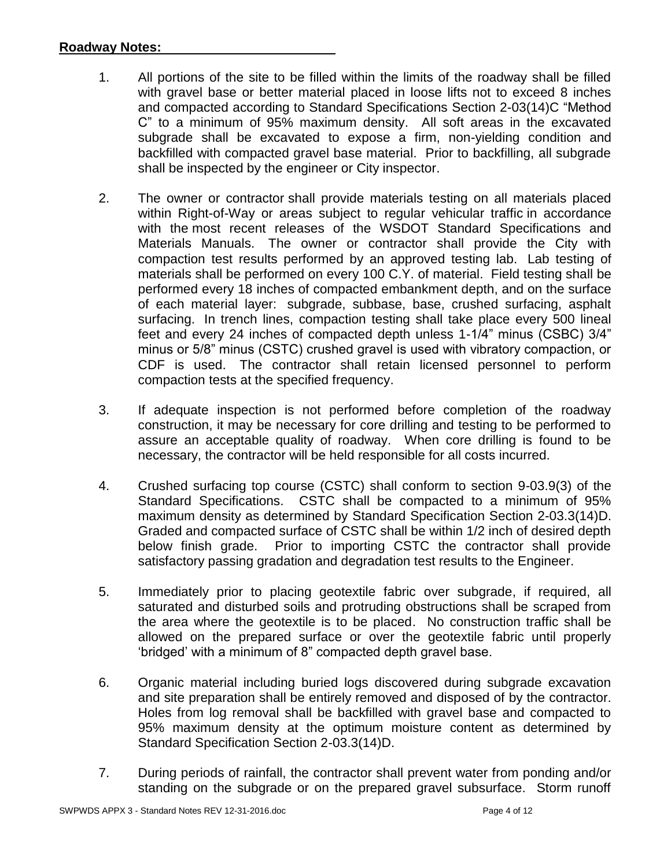## **Roadway Notes:**

- 1. All portions of the site to be filled within the limits of the roadway shall be filled with gravel base or better material placed in loose lifts not to exceed 8 inches and compacted according to Standard Specifications Section 2-03(14)C "Method C" to a minimum of 95% maximum density. All soft areas in the excavated subgrade shall be excavated to expose a firm, non-yielding condition and backfilled with compacted gravel base material. Prior to backfilling, all subgrade shall be inspected by the engineer or City inspector.
- 2. The owner or contractor shall provide materials testing on all materials placed within Right-of-Way or areas subject to regular vehicular traffic in accordance with the most recent releases of the WSDOT Standard Specifications and Materials Manuals. The owner or contractor shall provide the City with compaction test results performed by an approved testing lab. Lab testing of materials shall be performed on every 100 C.Y. of material. Field testing shall be performed every 18 inches of compacted embankment depth, and on the surface of each material layer: subgrade, subbase, base, crushed surfacing, asphalt surfacing. In trench lines, compaction testing shall take place every 500 lineal feet and every 24 inches of compacted depth unless 1-1/4" minus (CSBC) 3/4" minus or 5/8" minus (CSTC) crushed gravel is used with vibratory compaction, or CDF is used. The contractor shall retain licensed personnel to perform compaction tests at the specified frequency.
- 3. If adequate inspection is not performed before completion of the roadway construction, it may be necessary for core drilling and testing to be performed to assure an acceptable quality of roadway. When core drilling is found to be necessary, the contractor will be held responsible for all costs incurred.
- 4. Crushed surfacing top course (CSTC) shall conform to section 9-03.9(3) of the Standard Specifications. CSTC shall be compacted to a minimum of 95% maximum density as determined by Standard Specification Section 2-03.3(14)D. Graded and compacted surface of CSTC shall be within 1/2 inch of desired depth below finish grade. Prior to importing CSTC the contractor shall provide satisfactory passing gradation and degradation test results to the Engineer.
- 5. Immediately prior to placing geotextile fabric over subgrade, if required, all saturated and disturbed soils and protruding obstructions shall be scraped from the area where the geotextile is to be placed. No construction traffic shall be allowed on the prepared surface or over the geotextile fabric until properly 'bridged' with a minimum of 8" compacted depth gravel base.
- 6. Organic material including buried logs discovered during subgrade excavation and site preparation shall be entirely removed and disposed of by the contractor. Holes from log removal shall be backfilled with gravel base and compacted to 95% maximum density at the optimum moisture content as determined by Standard Specification Section 2-03.3(14)D.
- 7. During periods of rainfall, the contractor shall prevent water from ponding and/or standing on the subgrade or on the prepared gravel subsurface. Storm runoff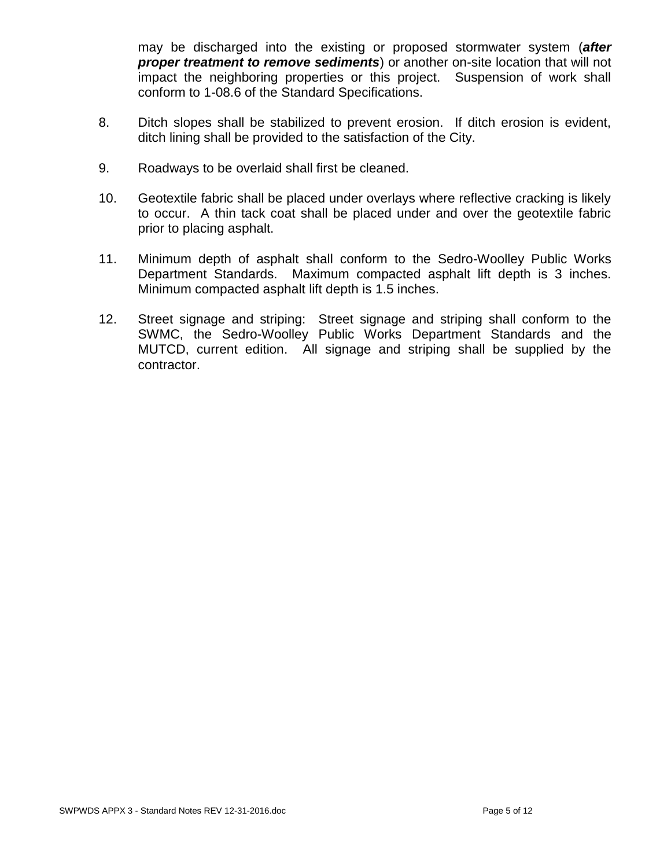may be discharged into the existing or proposed stormwater system (*after proper treatment to remove sediments*) or another on-site location that will not impact the neighboring properties or this project. Suspension of work shall conform to 1-08.6 of the Standard Specifications.

- 8. Ditch slopes shall be stabilized to prevent erosion. If ditch erosion is evident, ditch lining shall be provided to the satisfaction of the City.
- 9. Roadways to be overlaid shall first be cleaned.
- 10. Geotextile fabric shall be placed under overlays where reflective cracking is likely to occur. A thin tack coat shall be placed under and over the geotextile fabric prior to placing asphalt.
- 11. Minimum depth of asphalt shall conform to the Sedro-Woolley Public Works Department Standards. Maximum compacted asphalt lift depth is 3 inches. Minimum compacted asphalt lift depth is 1.5 inches.
- 12. Street signage and striping: Street signage and striping shall conform to the SWMC, the Sedro-Woolley Public Works Department Standards and the MUTCD, current edition. All signage and striping shall be supplied by the contractor.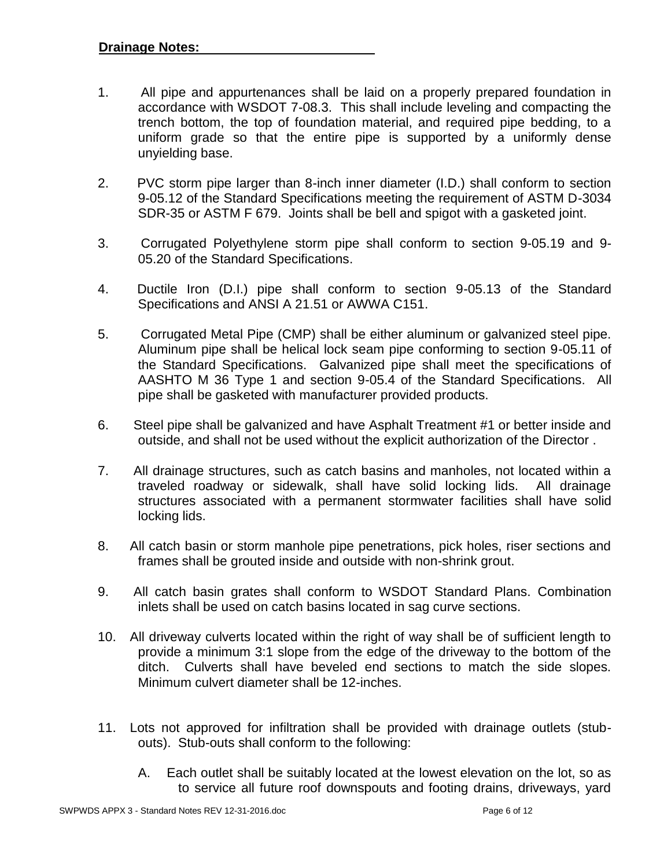- 1. All pipe and appurtenances shall be laid on a properly prepared foundation in accordance with WSDOT 7-08.3. This shall include leveling and compacting the trench bottom, the top of foundation material, and required pipe bedding, to a uniform grade so that the entire pipe is supported by a uniformly dense unyielding base.
- 2. PVC storm pipe larger than 8-inch inner diameter (I.D.) shall conform to section 9-05.12 of the Standard Specifications meeting the requirement of ASTM D-3034 SDR-35 or ASTM F 679. Joints shall be bell and spigot with a gasketed joint.
- 3. Corrugated Polyethylene storm pipe shall conform to section 9-05.19 and 9- 05.20 of the Standard Specifications.
- 4. Ductile Iron (D.I.) pipe shall conform to section 9-05.13 of the Standard Specifications and ANSI A 21.51 or AWWA C151.
- 5. Corrugated Metal Pipe (CMP) shall be either aluminum or galvanized steel pipe. Aluminum pipe shall be helical lock seam pipe conforming to section 9-05.11 of the Standard Specifications. Galvanized pipe shall meet the specifications of AASHTO M 36 Type 1 and section 9-05.4 of the Standard Specifications. All pipe shall be gasketed with manufacturer provided products.
- 6. Steel pipe shall be galvanized and have Asphalt Treatment #1 or better inside and outside, and shall not be used without the explicit authorization of the Director .
- 7. All drainage structures, such as catch basins and manholes, not located within a traveled roadway or sidewalk, shall have solid locking lids. All drainage structures associated with a permanent stormwater facilities shall have solid locking lids.
- 8. All catch basin or storm manhole pipe penetrations, pick holes, riser sections and frames shall be grouted inside and outside with non-shrink grout.
- 9. All catch basin grates shall conform to WSDOT Standard Plans. Combination inlets shall be used on catch basins located in sag curve sections.
- 10. All driveway culverts located within the right of way shall be of sufficient length to provide a minimum 3:1 slope from the edge of the driveway to the bottom of the ditch. Culverts shall have beveled end sections to match the side slopes. Minimum culvert diameter shall be 12-inches.
- 11. Lots not approved for infiltration shall be provided with drainage outlets (stubouts). Stub-outs shall conform to the following:
	- A. Each outlet shall be suitably located at the lowest elevation on the lot, so as to service all future roof downspouts and footing drains, driveways, yard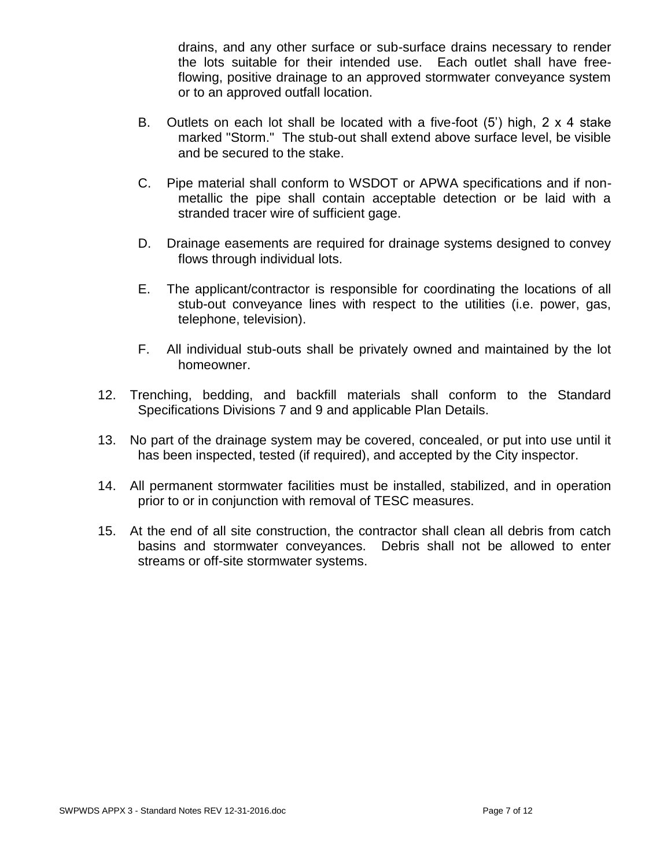drains, and any other surface or sub-surface drains necessary to render the lots suitable for their intended use. Each outlet shall have freeflowing, positive drainage to an approved stormwater conveyance system or to an approved outfall location.

- B. Outlets on each lot shall be located with a five-foot (5') high, 2 x 4 stake marked "Storm." The stub-out shall extend above surface level, be visible and be secured to the stake.
- C. Pipe material shall conform to WSDOT or APWA specifications and if nonmetallic the pipe shall contain acceptable detection or be laid with a stranded tracer wire of sufficient gage.
- D. Drainage easements are required for drainage systems designed to convey flows through individual lots.
- E. The applicant/contractor is responsible for coordinating the locations of all stub-out conveyance lines with respect to the utilities (i.e. power, gas, telephone, television).
- F. All individual stub-outs shall be privately owned and maintained by the lot homeowner.
- 12. Trenching, bedding, and backfill materials shall conform to the Standard Specifications Divisions 7 and 9 and applicable Plan Details.
- 13. No part of the drainage system may be covered, concealed, or put into use until it has been inspected, tested (if required), and accepted by the City inspector.
- 14. All permanent stormwater facilities must be installed, stabilized, and in operation prior to or in conjunction with removal of TESC measures.
- 15. At the end of all site construction, the contractor shall clean all debris from catch basins and stormwater conveyances. Debris shall not be allowed to enter streams or off-site stormwater systems.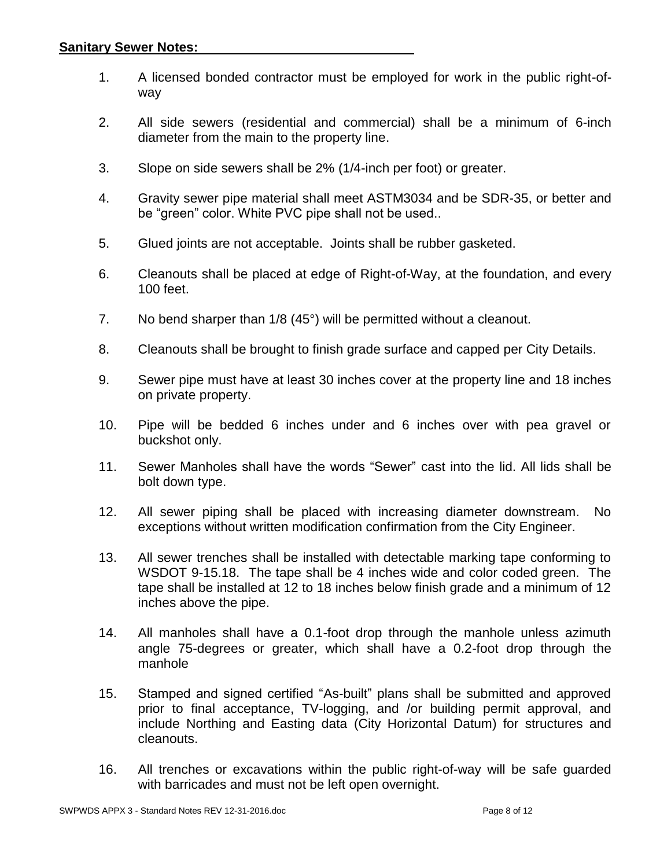- 1. A licensed bonded contractor must be employed for work in the public right-ofway
- 2. All side sewers (residential and commercial) shall be a minimum of 6-inch diameter from the main to the property line.
- 3. Slope on side sewers shall be 2% (1/4-inch per foot) or greater.
- 4. Gravity sewer pipe material shall meet ASTM3034 and be SDR-35, or better and be "green" color. White PVC pipe shall not be used..
- 5. Glued joints are not acceptable. Joints shall be rubber gasketed.
- 6. Cleanouts shall be placed at edge of Right-of-Way, at the foundation, and every 100 feet.
- 7. No bend sharper than 1/8 (45°) will be permitted without a cleanout.
- 8. Cleanouts shall be brought to finish grade surface and capped per City Details.
- 9. Sewer pipe must have at least 30 inches cover at the property line and 18 inches on private property.
- 10. Pipe will be bedded 6 inches under and 6 inches over with pea gravel or buckshot only.
- 11. Sewer Manholes shall have the words "Sewer" cast into the lid. All lids shall be bolt down type.
- 12. All sewer piping shall be placed with increasing diameter downstream. No exceptions without written modification confirmation from the City Engineer.
- 13. All sewer trenches shall be installed with detectable marking tape conforming to WSDOT 9-15.18. The tape shall be 4 inches wide and color coded green. The tape shall be installed at 12 to 18 inches below finish grade and a minimum of 12 inches above the pipe.
- 14. All manholes shall have a 0.1-foot drop through the manhole unless azimuth angle 75-degrees or greater, which shall have a 0.2-foot drop through the manhole
- 15. Stamped and signed certified "As-built" plans shall be submitted and approved prior to final acceptance, TV-logging, and /or building permit approval, and include Northing and Easting data (City Horizontal Datum) for structures and cleanouts.
- 16. All trenches or excavations within the public right-of-way will be safe guarded with barricades and must not be left open overnight.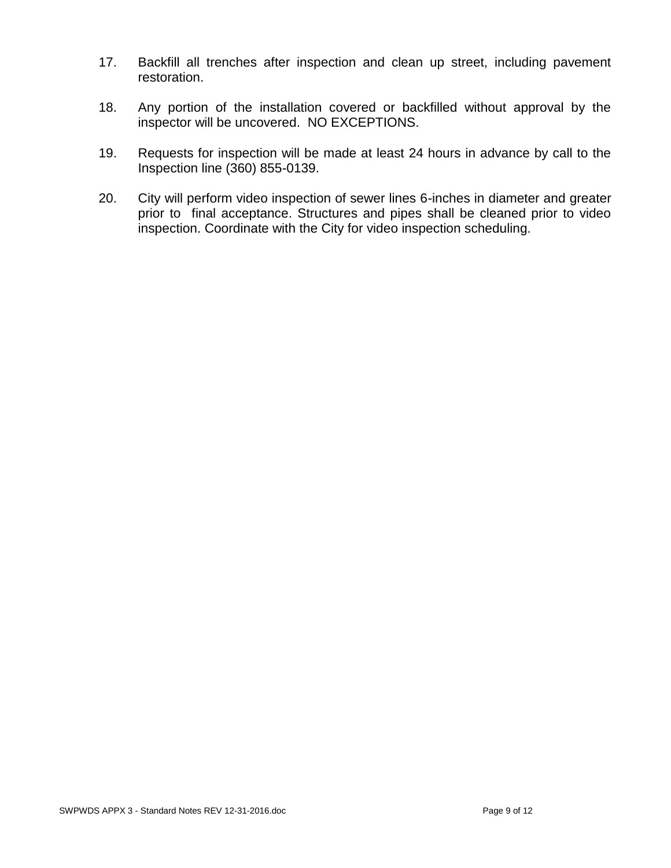- 17. Backfill all trenches after inspection and clean up street, including pavement restoration.
- 18. Any portion of the installation covered or backfilled without approval by the inspector will be uncovered. NO EXCEPTIONS.
- 19. Requests for inspection will be made at least 24 hours in advance by call to the Inspection line (360) 855-0139.
- 20. City will perform video inspection of sewer lines 6-inches in diameter and greater prior to final acceptance. Structures and pipes shall be cleaned prior to video inspection. Coordinate with the City for video inspection scheduling.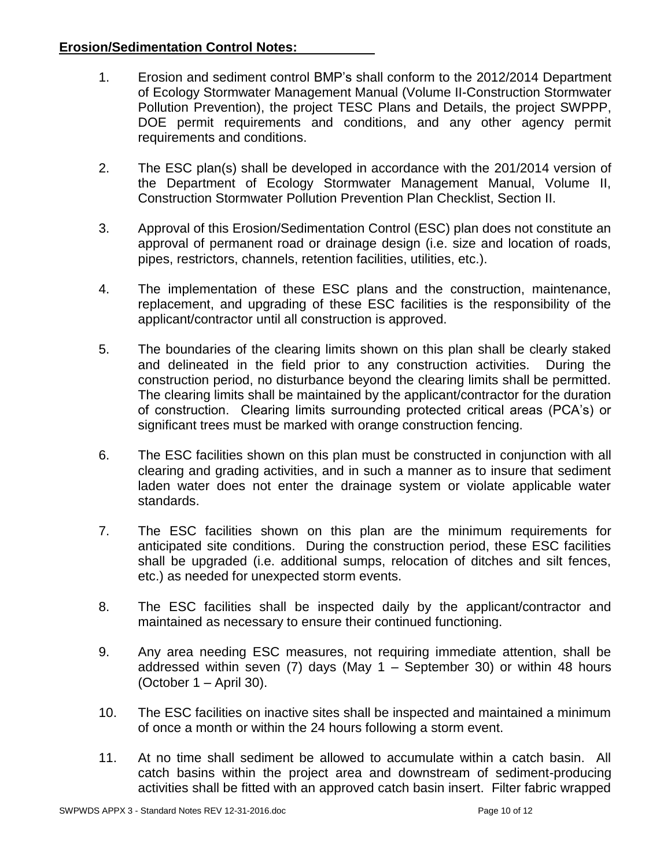# **Erosion/Sedimentation Control Notes:**

- 1. Erosion and sediment control BMP's shall conform to the 2012/2014 Department of Ecology Stormwater Management Manual (Volume II-Construction Stormwater Pollution Prevention), the project TESC Plans and Details, the project SWPPP, DOE permit requirements and conditions, and any other agency permit requirements and conditions.
- 2. The ESC plan(s) shall be developed in accordance with the 201/2014 version of the Department of Ecology Stormwater Management Manual, Volume II, Construction Stormwater Pollution Prevention Plan Checklist, Section II.
- 3. Approval of this Erosion/Sedimentation Control (ESC) plan does not constitute an approval of permanent road or drainage design (i.e. size and location of roads, pipes, restrictors, channels, retention facilities, utilities, etc.).
- 4. The implementation of these ESC plans and the construction, maintenance, replacement, and upgrading of these ESC facilities is the responsibility of the applicant/contractor until all construction is approved.
- 5. The boundaries of the clearing limits shown on this plan shall be clearly staked and delineated in the field prior to any construction activities. During the construction period, no disturbance beyond the clearing limits shall be permitted. The clearing limits shall be maintained by the applicant/contractor for the duration of construction. Clearing limits surrounding protected critical areas (PCA's) or significant trees must be marked with orange construction fencing.
- 6. The ESC facilities shown on this plan must be constructed in conjunction with all clearing and grading activities, and in such a manner as to insure that sediment laden water does not enter the drainage system or violate applicable water standards.
- 7. The ESC facilities shown on this plan are the minimum requirements for anticipated site conditions. During the construction period, these ESC facilities shall be upgraded (i.e. additional sumps, relocation of ditches and silt fences, etc.) as needed for unexpected storm events.
- 8. The ESC facilities shall be inspected daily by the applicant/contractor and maintained as necessary to ensure their continued functioning.
- 9. Any area needing ESC measures, not requiring immediate attention, shall be addressed within seven (7) days (May 1 – September 30) or within 48 hours (October 1 – April 30).
- 10. The ESC facilities on inactive sites shall be inspected and maintained a minimum of once a month or within the 24 hours following a storm event.
- 11. At no time shall sediment be allowed to accumulate within a catch basin. All catch basins within the project area and downstream of sediment-producing activities shall be fitted with an approved catch basin insert. Filter fabric wrapped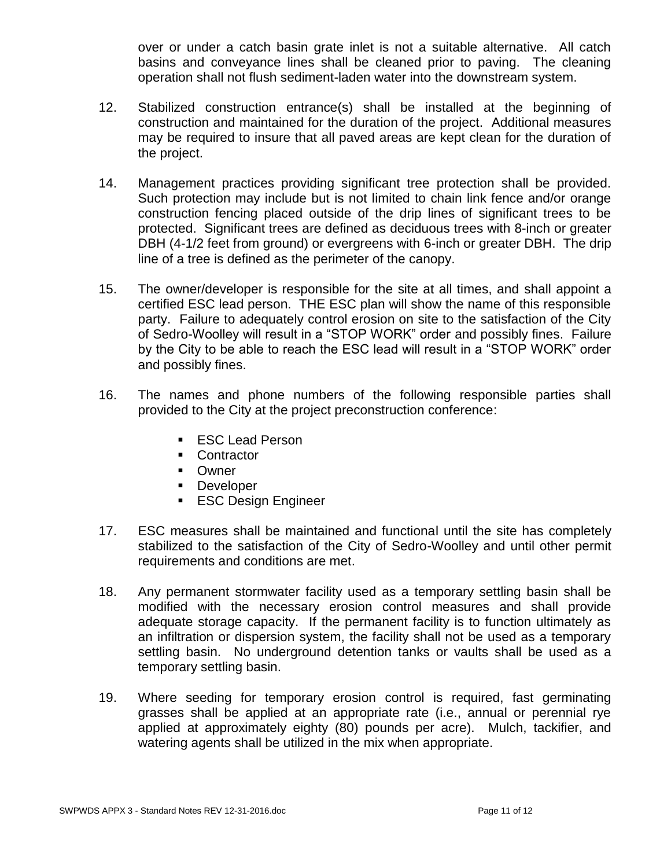over or under a catch basin grate inlet is not a suitable alternative. All catch basins and conveyance lines shall be cleaned prior to paving. The cleaning operation shall not flush sediment-laden water into the downstream system.

- 12. Stabilized construction entrance(s) shall be installed at the beginning of construction and maintained for the duration of the project. Additional measures may be required to insure that all paved areas are kept clean for the duration of the project.
- 14. Management practices providing significant tree protection shall be provided. Such protection may include but is not limited to chain link fence and/or orange construction fencing placed outside of the drip lines of significant trees to be protected. Significant trees are defined as deciduous trees with 8-inch or greater DBH (4-1/2 feet from ground) or evergreens with 6-inch or greater DBH. The drip line of a tree is defined as the perimeter of the canopy.
- 15. The owner/developer is responsible for the site at all times, and shall appoint a certified ESC lead person. THE ESC plan will show the name of this responsible party. Failure to adequately control erosion on site to the satisfaction of the City of Sedro-Woolley will result in a "STOP WORK" order and possibly fines. Failure by the City to be able to reach the ESC lead will result in a "STOP WORK" order and possibly fines.
- 16. The names and phone numbers of the following responsible parties shall provided to the City at the project preconstruction conference:
	- **ESC Lead Person**
	- Contractor
	- **Dwner**
	- **Developer**
	- **ESC Design Engineer**
- 17. ESC measures shall be maintained and functional until the site has completely stabilized to the satisfaction of the City of Sedro-Woolley and until other permit requirements and conditions are met.
- 18. Any permanent stormwater facility used as a temporary settling basin shall be modified with the necessary erosion control measures and shall provide adequate storage capacity. If the permanent facility is to function ultimately as an infiltration or dispersion system, the facility shall not be used as a temporary settling basin. No underground detention tanks or vaults shall be used as a temporary settling basin.
- 19. Where seeding for temporary erosion control is required, fast germinating grasses shall be applied at an appropriate rate (i.e., annual or perennial rye applied at approximately eighty (80) pounds per acre). Mulch, tackifier, and watering agents shall be utilized in the mix when appropriate.